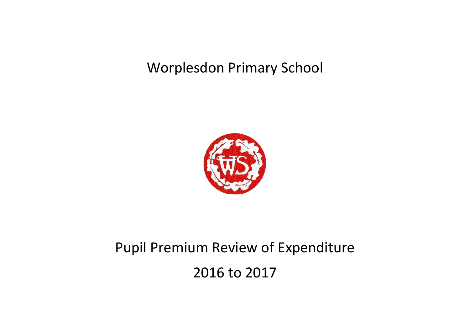## Worplesdon Primary School



## Pupil Premium Review of Expenditure

2016 to 2017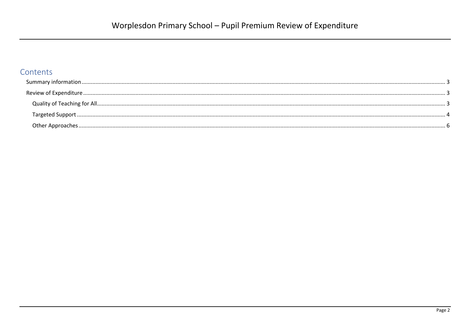## Contents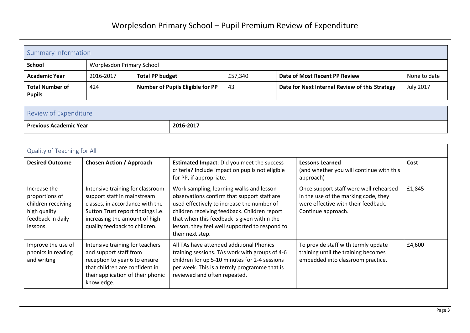<span id="page-2-0"></span>

| Summary information                     |                                  |                                         |         |                                                |                  |
|-----------------------------------------|----------------------------------|-----------------------------------------|---------|------------------------------------------------|------------------|
| <b>School</b>                           | <b>Worplesdon Primary School</b> |                                         |         |                                                |                  |
| <b>Academic Year</b>                    | 2016-2017                        | <b>Total PP budget</b>                  | £57,340 | Date of Most Recent PP Review                  | None to date     |
| <b>Total Number of</b><br><b>Pupils</b> | 424                              | <b>Number of Pupils Eligible for PP</b> | 43      | Date for Next Internal Review of this Strategy | <b>July 2017</b> |

<span id="page-2-1"></span>

| Review of Expenditure         |           |
|-------------------------------|-----------|
| <b>Previous Academic Year</b> | 2016-2017 |

## <span id="page-2-2"></span>Quality of Teaching for All

| <b>Desired Outcome</b>                                                                                | <b>Chosen Action / Approach</b>                                                                                                                                                                           | <b>Estimated Impact:</b> Did you meet the success<br>criteria? Include impact on pupils not eligible<br>for PP, if appropriate.                                                                                                                                                                            | <b>Lessons Learned</b><br>(and whether you will continue with this<br>approach)                                                             | Cost   |
|-------------------------------------------------------------------------------------------------------|-----------------------------------------------------------------------------------------------------------------------------------------------------------------------------------------------------------|------------------------------------------------------------------------------------------------------------------------------------------------------------------------------------------------------------------------------------------------------------------------------------------------------------|---------------------------------------------------------------------------------------------------------------------------------------------|--------|
| Increase the<br>proportions of<br>children receiving<br>high quality<br>feedback in daily<br>lessons. | Intensive training for classroom<br>support staff in mainstream<br>classes, in accordance with the<br>Sutton Trust report findings i.e.<br>increasing the amount of high<br>quality feedback to children. | Work sampling, learning walks and lesson<br>observations confirm that support staff are<br>used effectively to increase the number of<br>children receiving feedback. Children report<br>that when this feedback is given within the<br>lesson, they feel well supported to respond to<br>their next step. | Once support staff were well rehearsed<br>in the use of the marking code, they<br>were effective with their feedback.<br>Continue approach. | £1,845 |
| Improve the use of<br>phonics in reading<br>and writing                                               | Intensive training for teachers<br>and support staff from<br>reception to year 6 to ensure<br>that children are confident in<br>their application of their phonic<br>knowledge.                           | All TAs have attended additional Phonics<br>training sessions. TAs work with groups of 4-6<br>children for up 5-10 minutes for 2-4 sessions<br>per week. This is a termly programme that is<br>reviewed and often repeated.                                                                                | To provide staff with termly update<br>training until the training becomes<br>embedded into classroom practice.                             | £4,600 |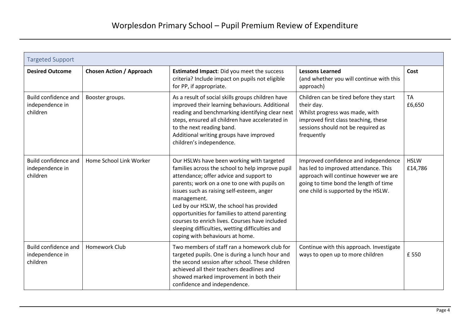<span id="page-3-0"></span>

| <b>Targeted Support</b>                             |                                 |                                                                                                                                                                                                                                                                                                                                                                                                                                                                                            |                                                                                                                                                                                                       |                        |
|-----------------------------------------------------|---------------------------------|--------------------------------------------------------------------------------------------------------------------------------------------------------------------------------------------------------------------------------------------------------------------------------------------------------------------------------------------------------------------------------------------------------------------------------------------------------------------------------------------|-------------------------------------------------------------------------------------------------------------------------------------------------------------------------------------------------------|------------------------|
| <b>Desired Outcome</b>                              | <b>Chosen Action / Approach</b> | <b>Estimated Impact:</b> Did you meet the success<br>criteria? Include impact on pupils not eligible<br>for PP, if appropriate.                                                                                                                                                                                                                                                                                                                                                            | <b>Lessons Learned</b><br>(and whether you will continue with this<br>approach)                                                                                                                       | Cost                   |
| Build confidence and<br>independence in<br>children | Booster groups.                 | As a result of social skills groups children have<br>improved their learning behaviours. Additional<br>reading and benchmarking identifying clear next<br>steps, ensured all children have accelerated in<br>to the next reading band.<br>Additional writing groups have improved<br>children's independence.                                                                                                                                                                              | Children can be tired before they start<br>their day.<br>Whilst progress was made, with<br>improved first class teaching, these<br>sessions should not be required as<br>frequently                   | <b>TA</b><br>£6,650    |
| Build confidence and<br>independence in<br>children | Home School Link Worker         | Our HSLWs have been working with targeted<br>families across the school to help improve pupil<br>attendance; offer advice and support to<br>parents; work on a one to one with pupils on<br>issues such as raising self-esteem, anger<br>management.<br>Led by our HSLW, the school has provided<br>opportunities for families to attend parenting<br>courses to enrich lives. Courses have included<br>sleeping difficulties, wetting difficulties and<br>coping with behaviours at home. | Improved confidence and independence<br>has led to improved attendance. This<br>approach will continue however we are<br>going to time bond the length of time<br>one child is supported by the HSLW. | <b>HSLW</b><br>£14,786 |
| Build confidence and<br>independence in<br>children | Homework Club                   | Two members of staff ran a homework club for<br>targeted pupils. One is during a lunch hour and<br>the second session after school. These children<br>achieved all their teachers deadlines and<br>showed marked improvement in both their<br>confidence and independence.                                                                                                                                                                                                                 | Continue with this approach. Investigate<br>ways to open up to more children                                                                                                                          | £550                   |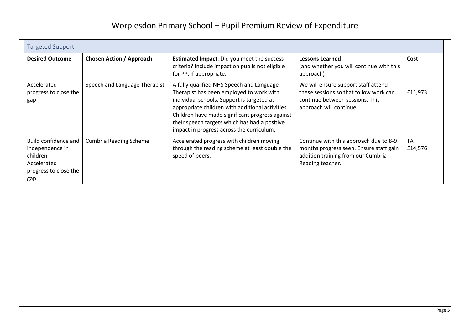| <b>Targeted Support</b>                                                                            |                                 |                                                                                                                                                                                                                                                                                                                                          |                                                                                                                                             |                      |
|----------------------------------------------------------------------------------------------------|---------------------------------|------------------------------------------------------------------------------------------------------------------------------------------------------------------------------------------------------------------------------------------------------------------------------------------------------------------------------------------|---------------------------------------------------------------------------------------------------------------------------------------------|----------------------|
| <b>Desired Outcome</b>                                                                             | <b>Chosen Action / Approach</b> | <b>Estimated Impact:</b> Did you meet the success<br>criteria? Include impact on pupils not eligible<br>for PP, if appropriate.                                                                                                                                                                                                          | <b>Lessons Learned</b><br>(and whether you will continue with this<br>approach)                                                             | Cost                 |
| Accelerated<br>progress to close the<br>gap                                                        | Speech and Language Therapist   | A fully qualified NHS Speech and Language<br>Therapist has been employed to work with<br>individual schools. Support is targeted at<br>appropriate children with additional activities.<br>Children have made significant progress against<br>their speech targets which has had a positive<br>impact in progress across the curriculum. | We will ensure support staff attend<br>these sessions so that follow work can<br>continue between sessions. This<br>approach will continue. | £11,973              |
| Build confidence and<br>independence in<br>children<br>Accelerated<br>progress to close the<br>gap | <b>Cumbria Reading Scheme</b>   | Accelerated progress with children moving<br>through the reading scheme at least double the<br>speed of peers.                                                                                                                                                                                                                           | Continue with this approach due to 8-9<br>months progress seen. Ensure staff gain<br>addition training from our Cumbria<br>Reading teacher. | <b>TA</b><br>£14,576 |